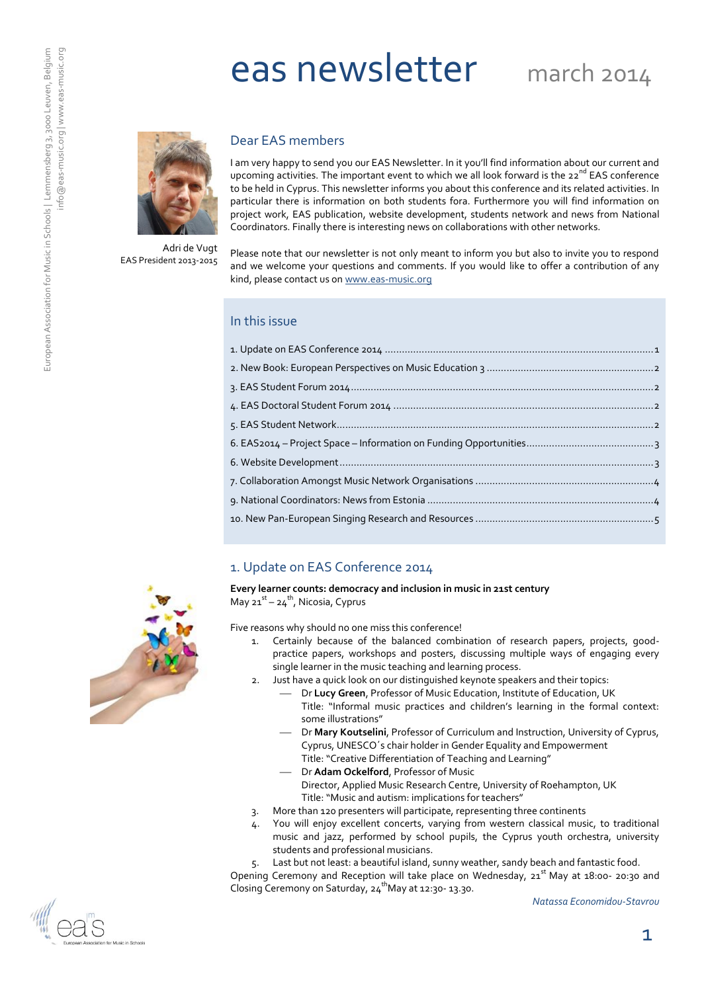# eas newsletter march 2014



Adri de Vugt EAS President 2013-2015

particular there is information on both students fora. Furthermore you will find information on project work, EAS publication, website development, students network and news from National Coordinators. Finally there is interesting news on collaborations with other networks. Please note that our newsletter is not only meant to inform you but also to invite you to respond

and we welcome your questions and comments. If you would like to offer a contribution of any

I am very happy to send you our EAS Newsletter. In it you'll find information about our current and upcoming activities. The important event to which we all look forward is the  $22^{nd}$  EAS conference to be held in Cyprus. This newsletter informs you about this conference and its related activities. In

#### In this issue

Dear EAS members

# <span id="page-0-0"></span>1. Update on EAS Conference 2014

kind, please contact us o[n www.eas-music.org](http://www.eas-music.org/)

**Every learner counts: democracy and inclusion in music in 21st century** May 21<sup>st</sup> – 24<sup>th</sup>, Nicosia, Cyprus

Five reasons why should no one miss this conference!

- 1. Certainly because of the balanced combination of research papers, projects, goodpractice papers, workshops and posters, discussing multiple ways of engaging every single learner in the music teaching and learning process.
- 2. Just have a quick look on our distinguished keynote speakers and their topics:
	- Dr **Lucy Green**, Professor of Music Education, Institute of Education, UK Title: "Informal music practices and children's learning in the formal context: some illustrations"
		- Dr **Mary Koutselini**, Professor of Curriculum and Instruction, University of Cyprus, Cyprus, UNESCO´s chair holder in Gender Equality and Empowerment Title: "Creative Differentiation of Teaching and Learning"
	- Dr **Adam Ockelford**, Professor of Music Director, Applied Music Research Centre, University of Roehampton, UK Title: "Music and autism: implications for teachers"
- 3. More than 120 presenters will participate, representing three continents
- 4. You will enjoy excellent concerts, varying from western classical music, to traditional music and jazz, performed by school pupils, the Cyprus youth orchestra, university students and professional musicians.
- Last but not least: a beautiful island, sunny weather, sandy beach and fantastic food.

Opening Ceremony and Reception will take place on Wednesday,  $21<sup>st</sup>$  May at 18:00- 20:30 and Closing Ceremony on Saturday,  $24^{\text{th}}$ May at 12:30-13.30.

*Natassa Economidou-Stavrou*



1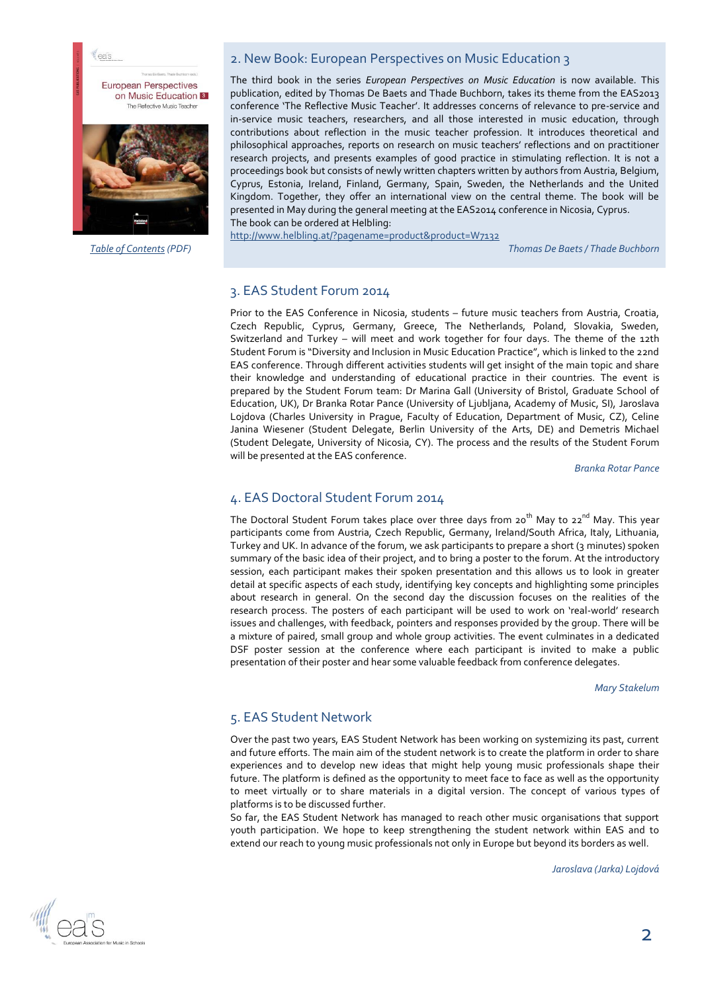

*[Table of Contents](http://www.eas-music.org/fileadmin/Dokumente/downloads/activities/European%20Perspectives%20on%20Music%20Education%201/European%20Perpectives%203/Table%20of%20Contents_EAS%203.pdf) (PDF)*

#### <span id="page-1-0"></span>2. New Book: European Perspectives on Music Education 3

The third book in the series *European Perspectives on Music Education* is now available. This publication, edited by Thomas De Baets and Thade Buchborn, takes its theme from the EAS2013 conference 'The Reflective Music Teacher'. It addresses concerns of relevance to pre-service and in-service music teachers, researchers, and all those interested in music education, through contributions about reflection in the music teacher profession. It introduces theoretical and philosophical approaches, reports on research on music teachers' reflections and on practitioner research projects, and presents examples of good practice in stimulating reflection. It is not a proceedings book but consists of newly written chapters written by authors from Austria, Belgium, Cyprus, Estonia, Ireland, Finland, Germany, Spain, Sweden, the Netherlands and the United Kingdom. Together, they offer an international view on the central theme. The book will be presented in May during the general meeting at the EAS2014 conference in Nicosia, Cyprus. The book can be ordered at Helbling:

<http://www.helbling.at/?pagename=product&product=W7132>

*Thomas De Baets / Thade Buchborn*

#### <span id="page-1-1"></span>3. EAS Student Forum 2014

Prior to the EAS Conference in Nicosia, students – future music teachers from Austria, Croatia, Czech Republic, Cyprus, Germany, Greece, The Netherlands, Poland, Slovakia, Sweden, Switzerland and Turkey – will meet and work together for four days. The theme of the 12th Student Forum is "Diversity and Inclusion in Music Education Practice", which is linked to the 22nd EAS conference. Through different activities students will get insight of the main topic and share their knowledge and understanding of educational practice in their countries. The event is prepared by the Student Forum team: Dr Marina Gall (University of Bristol, Graduate School of Education, UK), Dr Branka Rotar Pance (University of Ljubljana, Academy of Music, SI), Jaroslava Lojdova (Charles University in Prague, Faculty of Education, Department of Music, CZ), Celine Janina Wiesener (Student Delegate, Berlin University of the Arts, DE) and Demetris Michael (Student Delegate, University of Nicosia, CY). The process and the results of the Student Forum will be presented at the EAS conference.

*Branka Rotar Pance*

# <span id="page-1-2"></span>4. EAS Doctoral Student Forum 2014

The Doctoral Student Forum takes place over three days from  $20^{th}$  May to  $22^{nd}$  May. This year participants come from Austria, Czech Republic, Germany, Ireland/South Africa, Italy, Lithuania, Turkey and UK. In advance of the forum, we ask participants to prepare a short (3 minutes) spoken summary of the basic idea of their project, and to bring a poster to the forum. At the introductory session, each participant makes their spoken presentation and this allows us to look in greater detail at specific aspects of each study, identifying key concepts and highlighting some principles about research in general. On the second day the discussion focuses on the realities of the research process. The posters of each participant will be used to work on 'real-world' research issues and challenges, with feedback, pointers and responses provided by the group. There will be a mixture of paired, small group and whole group activities. The event culminates in a dedicated DSF poster session at the conference where each participant is invited to make a public presentation of their poster and hear some valuable feedback from conference delegates.

*Mary Stakelum*

# <span id="page-1-3"></span>5. EAS Student Network

Over the past two years, EAS Student Network has been working on systemizing its past, current and future efforts. The main aim of the student network is to create the platform in order to share experiences and to develop new ideas that might help young music professionals shape their future. The platform is defined as the opportunity to meet face to face as well as the opportunity to meet virtually or to share materials in a digital version. The concept of various types of platforms is to be discussed further.

So far, the EAS Student Network has managed to reach other music organisations that support youth participation. We hope to keep strengthening the student network within EAS and to extend our reach to young music professionals not only in Europe but beyond its borders as well.

*Jaroslava (Jarka) Lojdová*

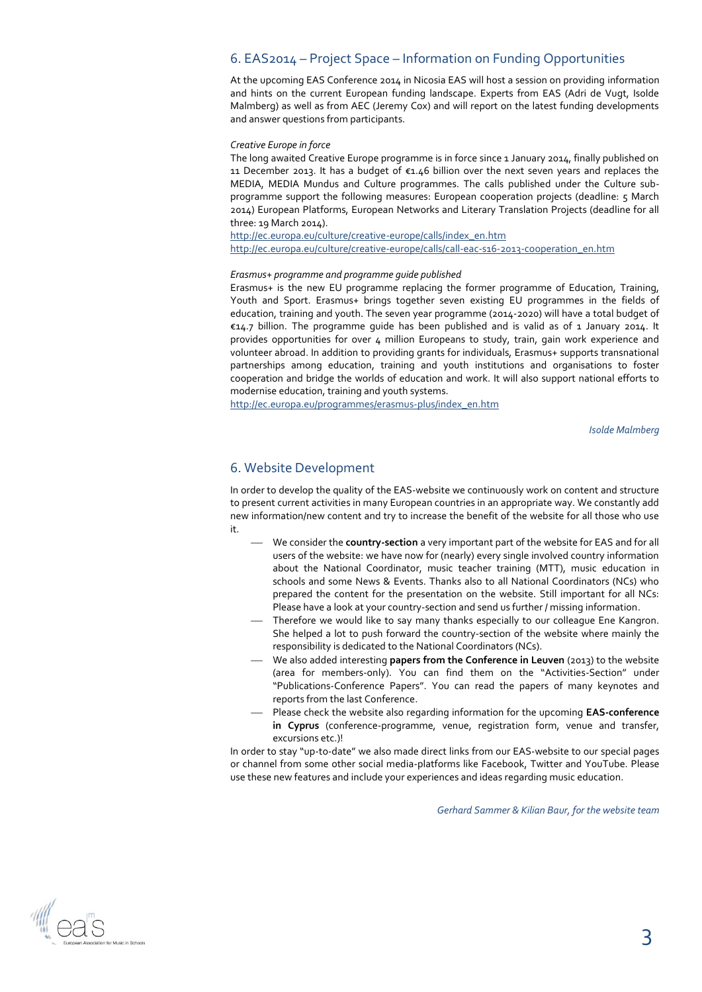# <span id="page-2-0"></span>6. EAS2014 – Project Space – Information on Funding Opportunities

At the upcoming EAS Conference 2014 in Nicosia EAS will host a session on providing information and hints on the current European funding landscape. Experts from EAS (Adri de Vugt, Isolde Malmberg) as well as from AEC (Jeremy Cox) and will report on the latest funding developments and answer questions from participants.

#### *Creative Europe in force*

The long awaited Creative Europe programme is in force since 1 January 2014, finally published on 11 December 2013. It has a budget of €1.46 billion over the next seven years and replaces the MEDIA, MEDIA Mundus and Culture programmes. The calls published under the Culture subprogramme support the following measures: European cooperation projects (deadline: 5 March 2014) European Platforms, European Networks and Literary Translation Projects (deadline for all three: 19 March 2014).

[http://ec.europa.eu/culture/creative-europe/calls/index\\_en.htm](http://ec.europa.eu/culture/creative-europe/calls/index_en.htm) [http://ec.europa.eu/culture/creative-europe/calls/call-eac-s16-2013-cooperation\\_en.htm](http://ec.europa.eu/culture/creative-europe/calls/call-eac-s16-2013-cooperation_en.htm)

#### *Erasmus+ programme and programme guide published*

Erasmus+ is the new EU programme replacing the former programme of Education, Training, Youth and Sport. Erasmus+ brings together seven existing EU programmes in the fields of education, training and youth. The seven year programme (2014-2020) will have a total budget of €14.7 billion. The programme guide has been published and is valid as of 1 January 2014. It provides opportunities for over 4 million Europeans to study, train, gain work experience and volunteer abroad. In addition to providing grants for individuals, Erasmus+ supports transnational partnerships among education, training and youth institutions and organisations to foster cooperation and bridge the worlds of education and work. It will also support national efforts to modernise education, training and youth systems.

[http://ec.europa.eu/programmes/erasmus-plus/index\\_en.htm](http://ec.europa.eu/programmes/erasmus-plus/index_en.htm)

*Isolde Malmberg*

#### <span id="page-2-1"></span>6. Website Development

In order to develop the quality of the EAS-website we continuously work on content and structure to present current activities in many European countries in an appropriate way. We constantly add new information/new content and try to increase the benefit of the website for all those who use it.

- We consider the **country-section** a very important part of the website for EAS and for all users of the website: we have now for (nearly) every single involved country information about the National Coordinator, music teacher training (MTT), music education in schools and some News & Events. Thanks also to all National Coordinators (NCs) who prepared the content for the presentation on the website. Still important for all NCs: Please have a look at your country-section and send us further / missing information.
- Therefore we would like to say many thanks especially to our colleague Ene Kangron. She helped a lot to push forward the country-section of the website where mainly the responsibility is dedicated to the National Coordinators (NCs).
- We also added interesting **papers from the Conference in Leuven** (2013) to the website (area for members-only). You can find them on the "Activities-Section" under "Publications-Conference Papers". You can read the papers of many keynotes and reports from the last Conference.
- Please check the website also regarding information for the upcoming **EAS-conference in Cyprus** (conference-programme, venue, registration form, venue and transfer, excursions etc.)!

In order to stay "up-to-date" we also made direct links from our EAS-website to our special pages or channel from some other social media-platforms like Facebook, Twitter and YouTube. Please use these new features and include your experiences and ideas regarding music education.

*Gerhard Sammer & Kilian Baur, for the website team*

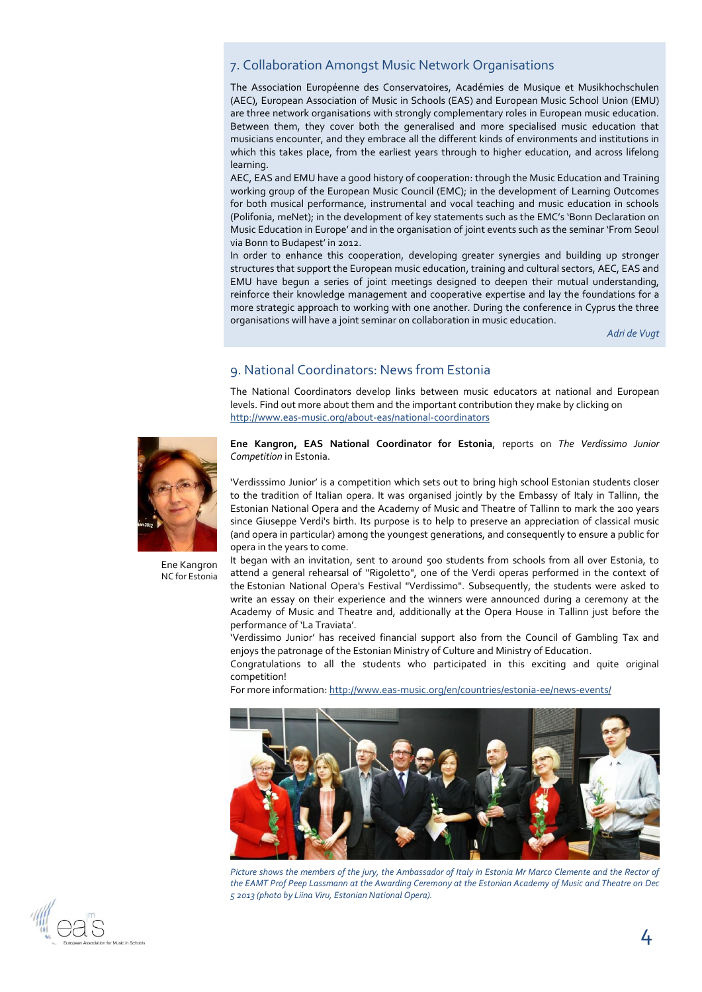#### <span id="page-3-0"></span>7. Collaboration Amongst Music Network Organisations

The Association Européenne des Conservatoires, Académies de Musique et Musikhochschulen (AEC), European Association of Music in Schools (EAS) and European Music School Union (EMU) are three network organisations with strongly complementary roles in European music education. Between them, they cover both the generalised and more specialised music education that musicians encounter, and they embrace all the different kinds of environments and institutions in which this takes place, from the earliest years through to higher education, and across lifelong learning.

AEC, EAS and EMU have a good history of cooperation: through the Music Education and Training working group of the European Music Council (EMC); in the development of Learning Outcomes for both musical performance, instrumental and vocal teaching and music education in schools (Polifonia, meNet); in the development of key statements such as the EMC's 'Bonn Declaration on Music Education in Europe' and in the organisation of joint events such as the seminar 'From Seoul via Bonn to Budapest' in 2012.

In order to enhance this cooperation, developing greater synergies and building up stronger structures that support the European music education, training and cultural sectors, AEC, EAS and EMU have begun a series of joint meetings designed to deepen their mutual understanding, reinforce their knowledge management and cooperative expertise and lay the foundations for a more strategic approach to working with one another. During the conference in Cyprus the three organisations will have a joint seminar on collaboration in music education.

*Adri de Vugt*

# <span id="page-3-1"></span>9. National Coordinators: News from Estonia

The National Coordinators develop links between music educators at national and European levels. Find out more about them and the important contribution they make by clicking on <http://www.eas-music.org/about-eas/national-coordinators>



Ene Kangron NC for Estonia **Ene Kangron, EAS National Coordinator for Estonia**, reports on *The Verdissimo Junior Competition* in Estonia.

'Verdisssimo Junior' is a competition which sets out to bring high school Estonian students closer to the tradition of Italian opera. It was organised jointly by the Embassy of Italy in Tallinn, the Estonian National Opera and the Academy of Music and Theatre of Tallinn to mark the 200 years since Giuseppe Verdi's birth. Its purpose is to help to preserve an appreciation of classical music (and opera in particular) among the youngest generations, and consequently to ensure a public for opera in the years to come.

It began with an invitation, sent to around 500 students from schools from all over Estonia, to attend a general rehearsal of "Rigoletto", one of the Verdi operas performed in the context of the Estonian National Opera's Festival "Verdissimo". Subsequently, the students were asked to write an essay on their experience and the winners were announced during a ceremony at the Academy of Music and Theatre and, additionally at the Opera House in Tallinn just before the performance of 'La Traviata'.

'Verdissimo Junior' has received financial support also from the Council of Gambling Tax and enjoys the patronage of the Estonian Ministry of Culture and Ministry of Education.

Congratulations to all the students who participated in this exciting and quite original competition!

For more information[: http://www.eas-music.org/en/countries/estonia-ee/news-events/](https://www.owamail.reading.ac.uk/owa/redir.aspx?C=XqWmPoWR6kyNxvtw7sq50WMUR-4zF9EIKvvJtSxqwzt-RW39FngFqbYqs6f3bTCZueMIKBCIkRc.&URL=http%3a%2f%2fwww.eas-music.org%2fen%2fcountries%2festonia-ee%2fnews-events%2f)



*Picture shows the members of the jury, the Ambassador of Italy in Estonia Mr Marco Clemente and the Rector of the EAMT Prof Peep Lassmann at the Awarding Ceremony at the Estonian Academy of Music and Theatre on Dec 5 2013 (photo by Liina Viru, Estonian National Opera).*